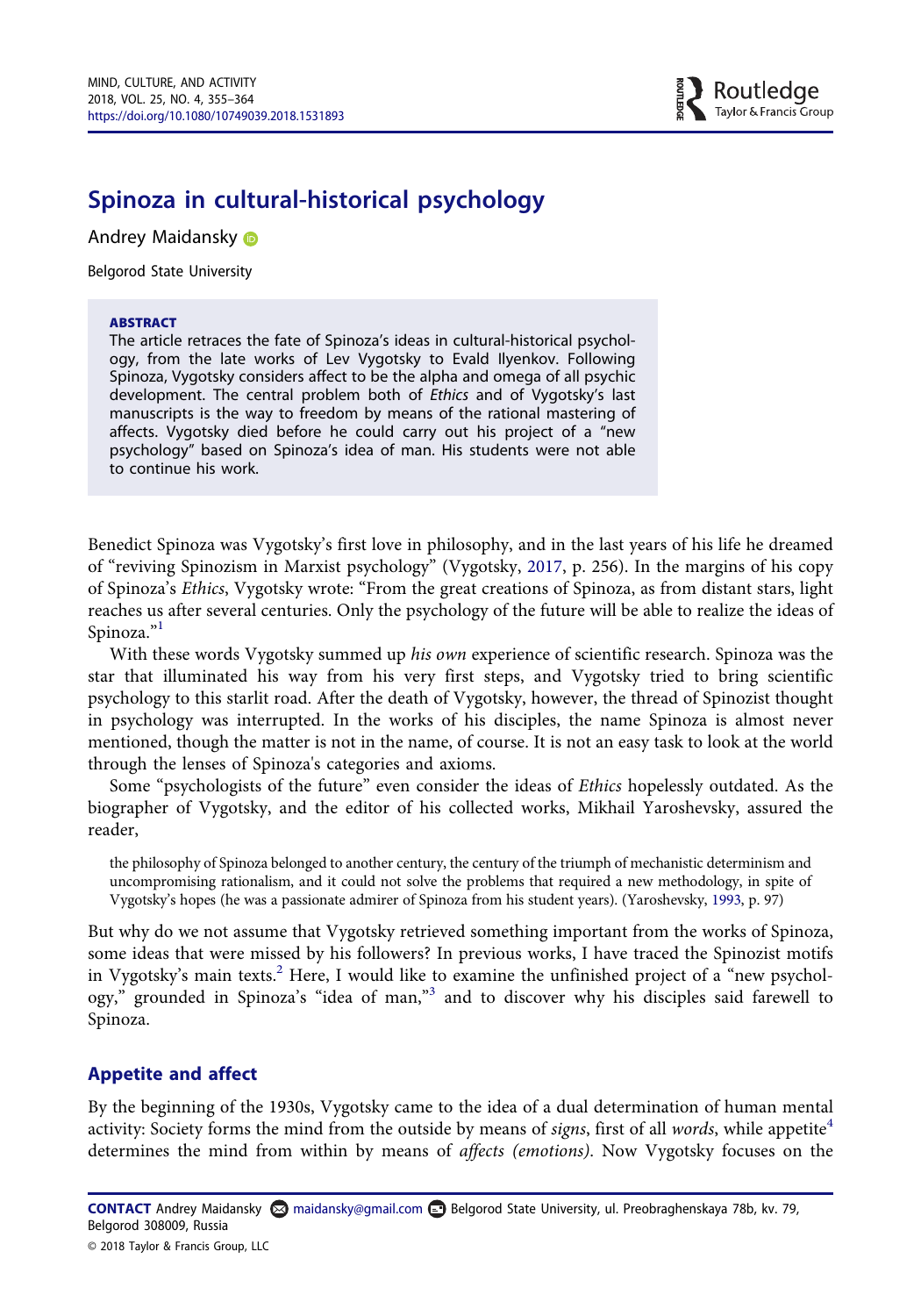# Spinoza in c[ultu](http://orcid.org/0000-0003-2061-3878)ral-historical psychology

Andrey Maidansky **D** 

Belgorod State University

## ABSTRACT

The article retraces the fate of Spinoza's ideas in cultural-historical psychology, from the late works of Lev Vygotsky to Evald Ilyenkov. Following Spinoza, Vygotsky considers affect to be the alpha and omega of all psychic development. The central problem both of Ethics and of Vygotsky's last manuscripts is the way to freedom by means of the rational mastering of affects. Vygotsky died before he could carry out his project of a "new psychology" based on Spinoza's idea of man. His students were not able to continue his work.

<span id="page-0-0"></span>Benedict Spinoza was Vygotsky's first love in philosophy, and in the last years of his life he dreamed of "reviving Spinozism in Marxist psychology" (Vygotsky, [2017,](#page-9-0) p. 256). In the margins of his copy of Spinoza's Ethics, Vygotsky wrote: "From the great creations of Spinoza, as from distant stars, light reaches us after several centuries. Only the psychology of the future will be able to realize the ideas of Spinoza."<sup>[1](#page-8-0)</sup>

With these words Vygotsky summed up his own experience of scientific research. Spinoza was the star that illuminated his way from his very first steps, and Vygotsky tried to bring scientific psychology to this starlit road. After the death of Vygotsky, however, the thread of Spinozist thought in psychology was interrupted. In the works of his disciples, the name Spinoza is almost never mentioned, though the matter is not in the name, of course. It is not an easy task to look at the world through the lenses of Spinoza's categories and axioms.

Some "psychologists of the future" even consider the ideas of Ethics hopelessly outdated. As the biographer of Vygotsky, and the editor of his collected works, Mikhail Yaroshevsky, assured the reader,

<span id="page-0-1"></span>the philosophy of Spinoza belonged to another century, the century of the triumph of mechanistic determinism and uncompromising rationalism, and it could not solve the problems that required a new methodology, in spite of Vygotsky's hopes (he was a passionate admirer of Spinoza from his student years). (Yaroshevsky, [1993](#page-9-1), p. 97)

But why do we not assume that Vygotsky retrieved something important from the works of Spinoza, some ideas that were missed by his followers? In previous works, I have traced the Spinozist motifs in Vygotsky's main texts.<sup>2</sup> Here, I would like to examine the unfinished project of a "new psychol-ogy," grounded in Spinoza's "idea of man,"<sup>[3](#page-8-2)</sup> and to discover why his disciples said farewell to Spinoza.

## Appetite and affect

By the beginning of the 1930s, Vygotsky came to the idea of a dual determination of human mental activity: Society forms the mind from the outside by means of signs, first of all words, while appetite<sup>4</sup> determines the mind from within by means of affects (emotions). Now Vygotsky focuses on the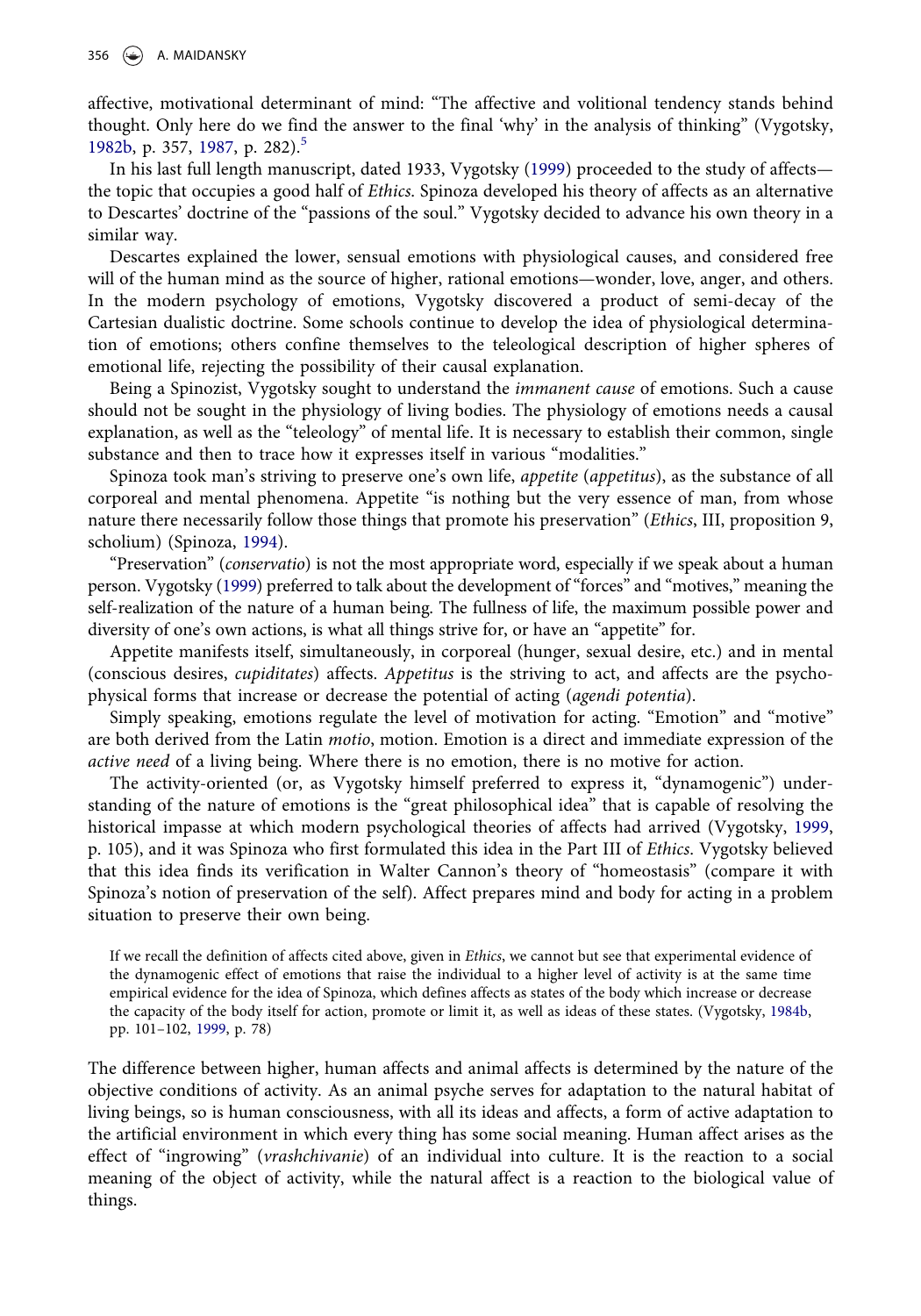356  $\left(\rightarrow\right)$  A. MAIDANSKY

<span id="page-1-1"></span>affective, motivational determinant of mind: "The affective and volitional tendency stands behind thought. Only here do we find the answer to the final 'why' in the analysis of thinking" (Vygotsky, [1982b](#page-9-2), p. 357, [1987,](#page-9-3) p. 282).<sup>5</sup>

<span id="page-1-3"></span>In his last full length manuscript, dated 1933, Vygotsky [\(1999](#page-9-4)) proceeded to the study of affects the topic that occupies a good half of *Ethics*. Spinoza developed his theory of affects as an alternative to Descartes' doctrine of the "passions of the soul." Vygotsky decided to advance his own theory in a similar way.

Descartes explained the lower, sensual emotions with physiological causes, and considered free will of the human mind as the source of higher, rational emotions—wonder, love, anger, and others. In the modern psychology of emotions, Vygotsky discovered a product of semi-decay of the Cartesian dualistic doctrine. Some schools continue to develop the idea of physiological determination of emotions; others confine themselves to the teleological description of higher spheres of emotional life, rejecting the possibility of their causal explanation.

Being a Spinozist, Vygotsky sought to understand the *immanent cause* of emotions. Such a cause should not be sought in the physiology of living bodies. The physiology of emotions needs a causal explanation, as well as the "teleology" of mental life. It is necessary to establish their common, single substance and then to trace how it expresses itself in various "modalities."

Spinoza took man's striving to preserve one's own life, appetite (appetitus), as the substance of all corporeal and mental phenomena. Appetite "is nothing but the very essence of man, from whose nature there necessarily follow those things that promote his preservation" (Ethics, III, proposition 9, scholium) (Spinoza, [1994\)](#page-9-5).

<span id="page-1-0"></span>"Preservation" (conservatio) is not the most appropriate word, especially if we speak about a human person. Vygotsky ([1999](#page-9-4)) preferred to talk about the development of"forces" and "motives," meaning the self-realization of the nature of a human being. The fullness of life, the maximum possible power and diversity of one's own actions, is what all things strive for, or have an "appetite" for.

Appetite manifests itself, simultaneously, in corporeal (hunger, sexual desire, etc.) and in mental (conscious desires, cupiditates) affects. Appetitus is the striving to act, and affects are the psychophysical forms that increase or decrease the potential of acting (agendi potentia).

Simply speaking, emotions regulate the level of motivation for acting. "Emotion" and "motive" are both derived from the Latin *motio*, motion. Emotion is a direct and immediate expression of the active need of a living being. Where there is no emotion, there is no motive for action.

The activity-oriented (or, as Vygotsky himself preferred to express it, "dynamogenic") understanding of the nature of emotions is the "great philosophical idea" that is capable of resolving the historical impasse at which modern psychological theories of affects had arrived (Vygotsky, [1999,](#page-9-4) p. 105), and it was Spinoza who first formulated this idea in the Part III of Ethics. Vygotsky believed that this idea finds its verification in Walter Cannon's theory of "homeostasis" (compare it with Spinoza's notion of preservation of the self). Affect prepares mind and body for acting in a problem situation to preserve their own being.

<span id="page-1-2"></span>If we recall the definition of affects cited above, given in Ethics, we cannot but see that experimental evidence of the dynamogenic effect of emotions that raise the individual to a higher level of activity is at the same time empirical evidence for the idea of Spinoza, which defines affects as states of the body which increase or decrease the capacity of the body itself for action, promote or limit it, as well as ideas of these states. (Vygotsky, [1984b](#page-9-6), pp. 101–102, [1999,](#page-9-4) p. 78)

<span id="page-1-4"></span>The difference between higher, human affects and animal affects is determined by the nature of the objective conditions of activity. As an animal psyche serves for adaptation to the natural habitat of living beings, so is human consciousness, with all its ideas and affects, a form of active adaptation to the artificial environment in which every thing has some social meaning. Human affect arises as the effect of "ingrowing" (vrashchivanie) of an individual into culture. It is the reaction to a social meaning of the object of activity, while the natural affect is a reaction to the biological value of things.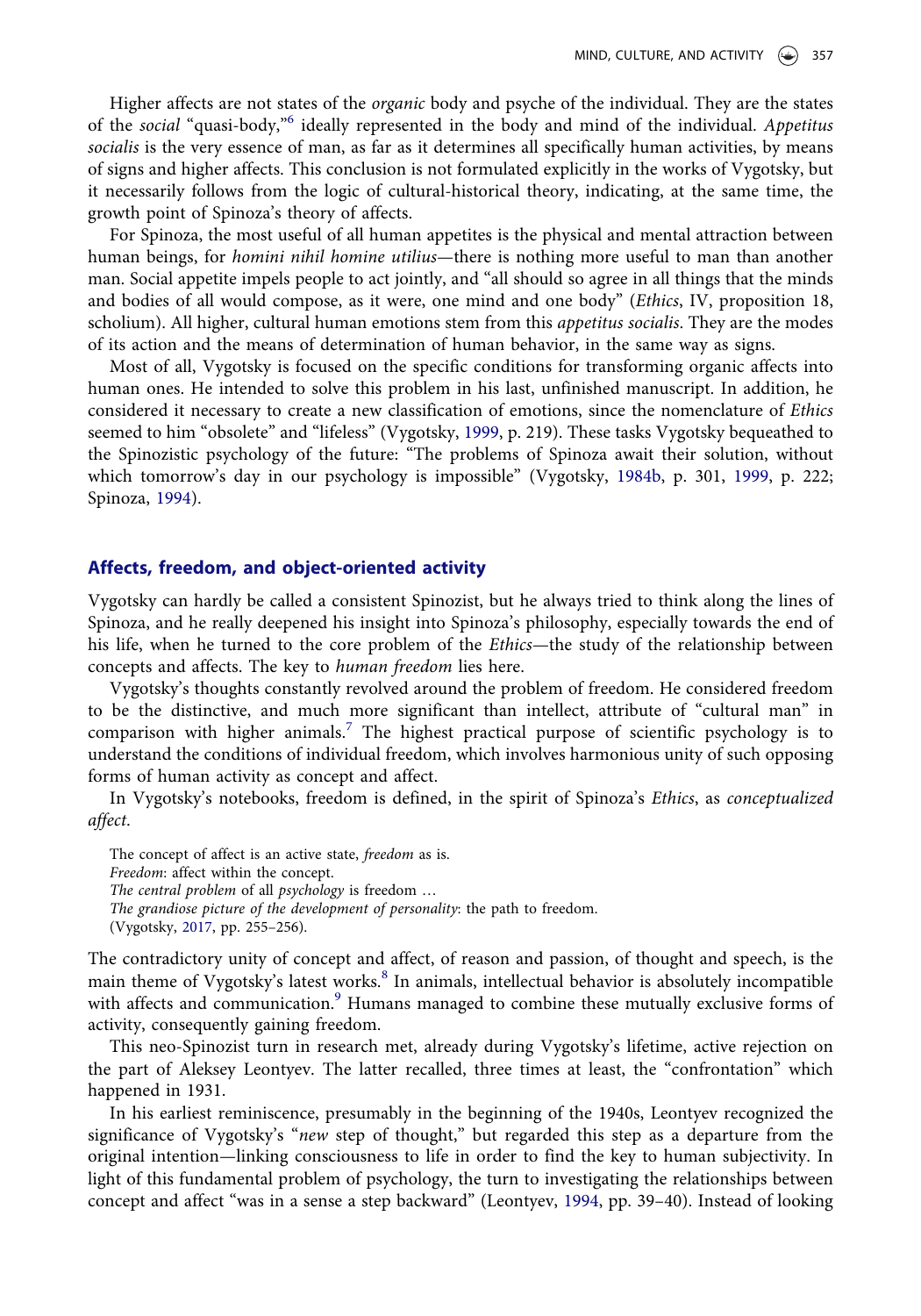Higher affects are not states of the *organic* body and psyche of the individual. They are the states of the social "quasi-body,"<sup>[6](#page-8-5)</sup> ideally represented in the body and mind of the individual. Appetitus socialis is the very essence of man, as far as it determines all specifically human activities, by means of signs and higher affects. This conclusion is not formulated explicitly in the works of Vygotsky, but it necessarily follows from the logic of cultural-historical theory, indicating, at the same time, the growth point of Spinoza's theory of affects.

For Spinoza, the most useful of all human appetites is the physical and mental attraction between human beings, for *homini nihil homine utilius*—there is nothing more useful to man than another man. Social appetite impels people to act jointly, and "all should so agree in all things that the minds and bodies of all would compose, as it were, one mind and one body" (Ethics, IV, proposition 18, scholium). All higher, cultural human emotions stem from this *appetitus socialis*. They are the modes of its action and the means of determination of human behavior, in the same way as signs.

Most of all, Vygotsky is focused on the specific conditions for transforming organic affects into human ones. He intended to solve this problem in his last, unfinished manuscript. In addition, he considered it necessary to create a new classification of emotions, since the nomenclature of Ethics seemed to him "obsolete" and "lifeless" (Vygotsky, [1999](#page-9-4), p. 219). These tasks Vygotsky bequeathed to the Spinozistic psychology of the future: "The problems of Spinoza await their solution, without which tomorrow's day in our psychology is impossible" (Vygotsky, [1984b,](#page-9-6) p. 301, [1999,](#page-9-4) p. 222; Spinoza, [1994\)](#page-9-5).

## Affects, freedom, and object-oriented activity

Vygotsky can hardly be called a consistent Spinozist, but he always tried to think along the lines of Spinoza, and he really deepened his insight into Spinoza's philosophy, especially towards the end of his life, when he turned to the core problem of the *Ethics*—the study of the relationship between concepts and affects. The key to human freedom lies here.

Vygotsky's thoughts constantly revolved around the problem of freedom. He considered freedom to be the distinctive, and much more significant than intellect, attribute of "cultural man" in comparison with higher animals.<sup>7</sup> The highest practical purpose of scientific psychology is to understand the conditions of individual freedom, which involves harmonious unity of such opposing forms of human activity as concept and affect.

In Vygotsky's notebooks, freedom is defined, in the spirit of Spinoza's Ethics, as conceptualized affect.

The concept of affect is an active state, freedom as is. Freedom: affect within the concept. The central problem of all psychology is freedom … The grandiose picture of the development of personality: the path to freedom. (Vygotsky, [2017](#page-9-0), pp. 255–256).

The contradictory unity of concept and affect, of reason and passion, of thought and speech, is the main theme of Vygotsky's latest works.<sup>[8](#page-8-7)</sup> In animals, intellectual behavior is absolutely incompatible with affects and communication.<sup>9</sup> Humans managed to combine these mutually exclusive forms of activity, consequently gaining freedom.

This neo-Spinozist turn in research met, already during Vygotsky's lifetime, active rejection on the part of Aleksey Leontyev. The latter recalled, three times at least, the "confrontation" which happened in 1931.

<span id="page-2-0"></span>In his earliest reminiscence, presumably in the beginning of the 1940s, Leontyev recognized the significance of Vygotsky's "new step of thought," but regarded this step as a departure from the original intention—linking consciousness to life in order to find the key to human subjectivity. In light of this fundamental problem of psychology, the turn to investigating the relationships between concept and affect "was in a sense a step backward" (Leontyev, [1994,](#page-9-7) pp. 39–40). Instead of looking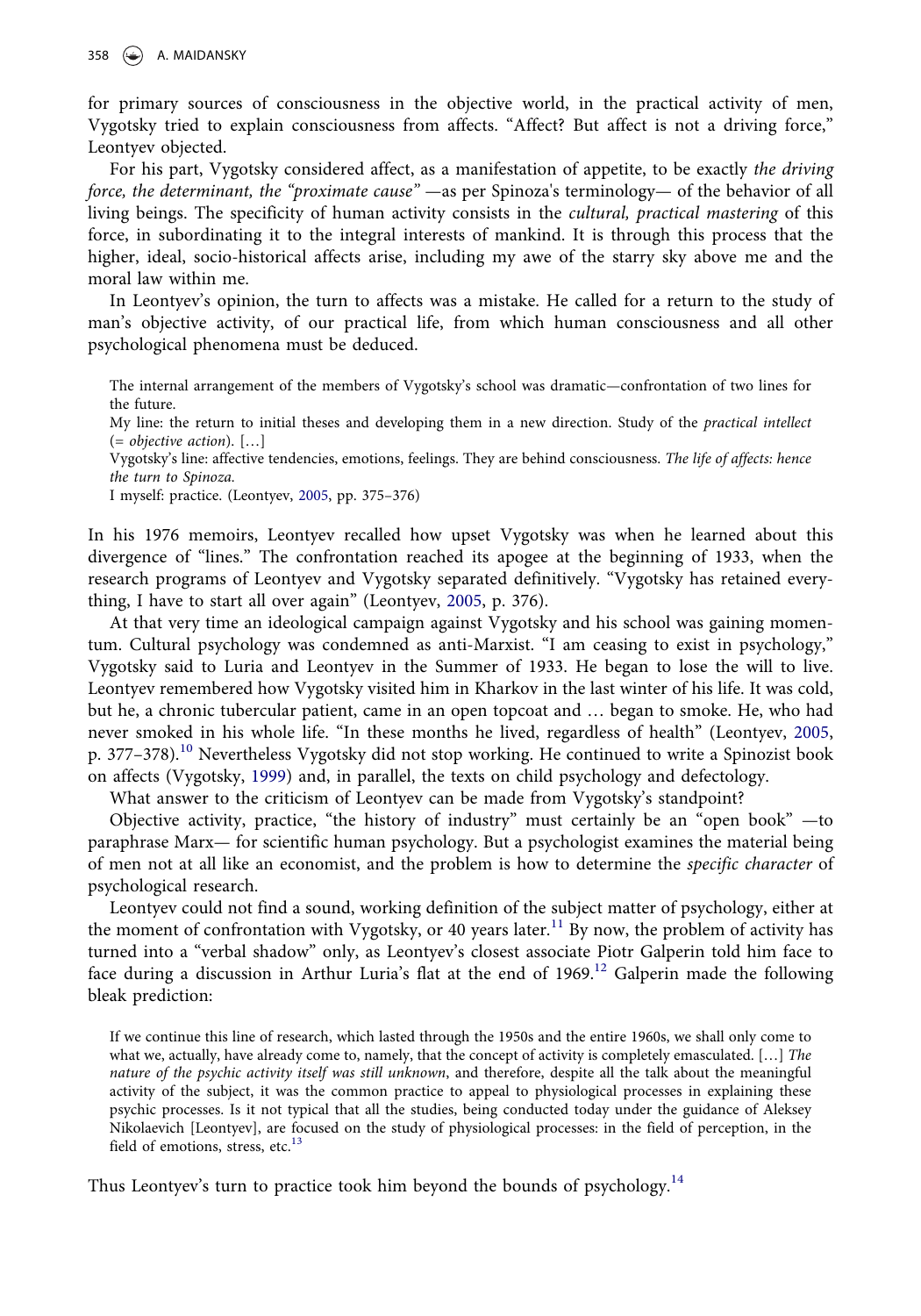358  $(\Leftrightarrow)$  A. MAIDANSKY

for primary sources of consciousness in the objective world, in the practical activity of men, Vygotsky tried to explain consciousness from affects. "Affect? But affect is not a driving force," Leontyev objected.

For his part, Vygotsky considered affect, as a manifestation of appetite, to be exactly the driving force, the determinant, the "proximate cause" —as per Spinoza's terminology— of the behavior of all living beings. The specificity of human activity consists in the cultural, practical mastering of this force, in subordinating it to the integral interests of mankind. It is through this process that the higher, ideal, socio-historical affects arise, including my awe of the starry sky above me and the moral law within me.

In Leontyev's opinion, the turn to affects was a mistake. He called for a return to the study of man's objective activity, of our practical life, from which human consciousness and all other psychological phenomena must be deduced.

The internal arrangement of the members of Vygotsky's school was dramatic—confrontation of two lines for the future.

My line: the return to initial theses and developing them in a new direction. Study of the practical intellect  $(= objective\, action).$   $[...]$ 

Vygotsky's line: affective tendencies, emotions, feelings. They are behind consciousness. The life of affects: hence the turn to Spinoza.

I myself: practice. (Leontyev, [2005,](#page-9-8) pp. 375–376)

In his 1976 memoirs, Leontyev recalled how upset Vygotsky was when he learned about this divergence of "lines." The confrontation reached its apogee at the beginning of 1933, when the research programs of Leontyev and Vygotsky separated definitively. "Vygotsky has retained everything, I have to start all over again" (Leontyev, [2005,](#page-9-8) p. 376).

At that very time an ideological campaign against Vygotsky and his school was gaining momentum. Cultural psychology was condemned as anti-Marxist. "I am ceasing to exist in psychology," Vygotsky said to Luria and Leontyev in the Summer of 1933. He began to lose the will to live. Leontyev remembered how Vygotsky visited him in Kharkov in the last winter of his life. It was cold, but he, a chronic tubercular patient, came in an open topcoat and … began to smoke. He, who had never smoked in his whole life. "In these months he lived, regardless of health" (Leontyev, [2005,](#page-9-8) p. 377–378).<sup>[10](#page-8-9)</sup> Nevertheless Vygotsky did not stop working. He continued to write a Spinozist book on affects (Vygotsky, [1999\)](#page-9-4) and, in parallel, the texts on child psychology and defectology.

<span id="page-3-0"></span>What answer to the criticism of Leontyev can be made from Vygotsky's standpoint?

Objective activity, practice, "the history of industry" must certainly be an "open book" —to paraphrase Marx— for scientific human psychology. But a psychologist examines the material being of men not at all like an economist, and the problem is how to determine the specific character of psychological research.

Leontyev could not find a sound, working definition of the subject matter of psychology, either at the moment of confrontation with Vygotsky, or 40 years later.<sup>[11](#page-8-10)</sup> By now, the problem of activity has turned into a "verbal shadow" only, as Leontyev's closest associate Piotr Galperin told him face to face during a discussion in Arthur Luria's flat at the end of  $1969$ .<sup>12</sup> Galperin made the following bleak prediction:

If we continue this line of research, which lasted through the 1950s and the entire 1960s, we shall only come to what we, actually, have already come to, namely, that the concept of activity is completely emasculated. [...] The nature of the psychic activity itself was still unknown, and therefore, despite all the talk about the meaningful activity of the subject, it was the common practice to appeal to physiological processes in explaining these psychic processes. Is it not typical that all the studies, being conducted today under the guidance of Aleksey Nikolaevich [Leontyev], are focused on the study of physiological processes: in the field of perception, in the field of emotions, stress, etc.<sup>13</sup>

Thus Leontyev's turn to practice took him beyond the bounds of psychology.<sup>14</sup>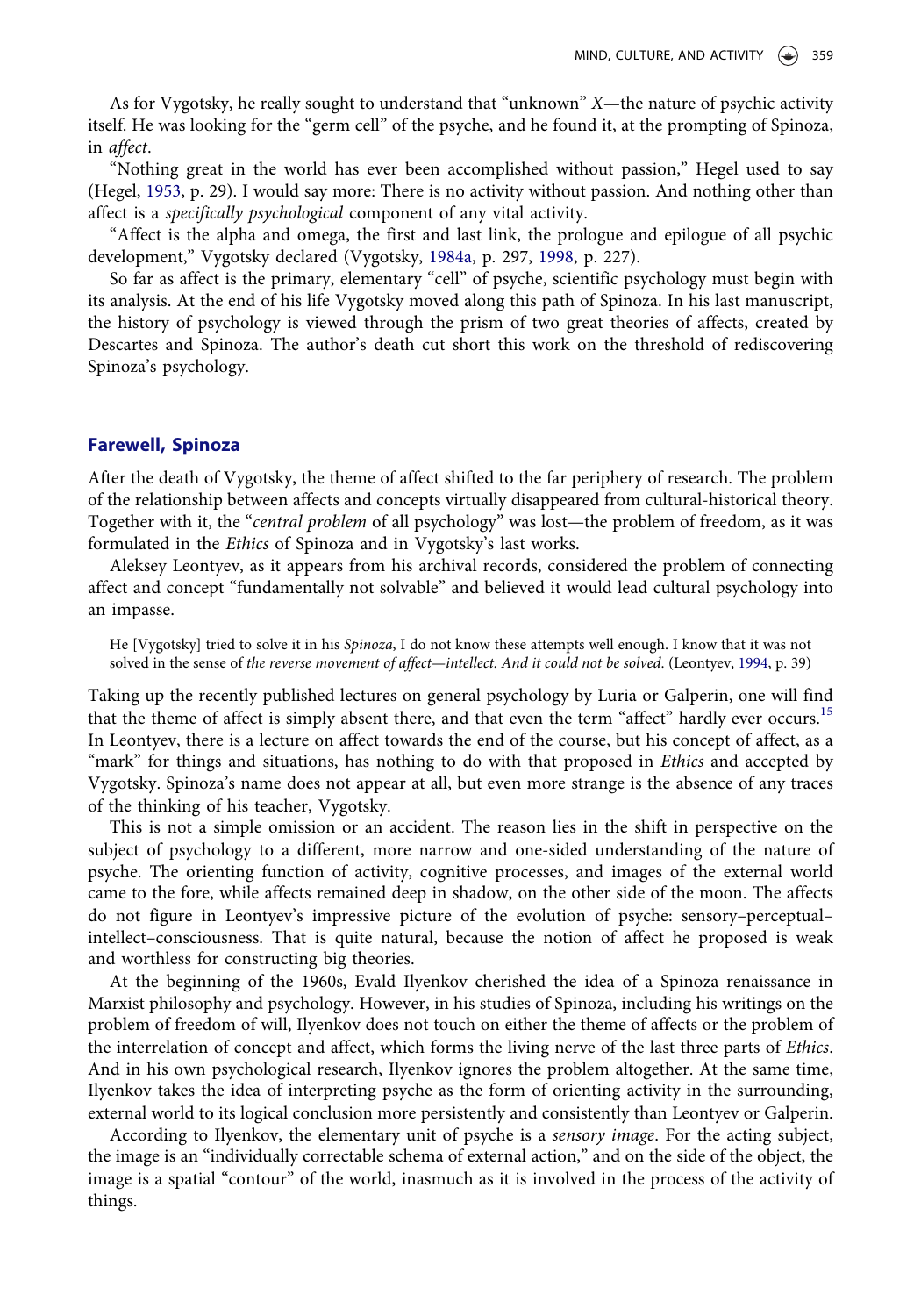As for Vygotsky, he really sought to understand that "unknown" X—the nature of psychic activity itself. He was looking for the "germ cell" of the psyche, and he found it, at the prompting of Spinoza, in affect.

<span id="page-4-0"></span>"Nothing great in the world has ever been accomplished without passion," Hegel used to say (Hegel, [1953](#page-9-9), p. 29). I would say more: There is no activity without passion. And nothing other than affect is a specifically psychological component of any vital activity.

<span id="page-4-1"></span>"Affect is the alpha and omega, the first and last link, the prologue and epilogue of all psychic development," Vygotsky declared (Vygotsky, [1984a](#page-9-10), p. 297, [1998,](#page-9-11) p. 227).

So far as affect is the primary, elementary "cell" of psyche, scientific psychology must begin with its analysis. At the end of his life Vygotsky moved along this path of Spinoza. In his last manuscript, the history of psychology is viewed through the prism of two great theories of affects, created by Descartes and Spinoza. The author's death cut short this work on the threshold of rediscovering Spinoza's psychology.

## Farewell, Spinoza

After the death of Vygotsky, the theme of affect shifted to the far periphery of research. The problem of the relationship between affects and concepts virtually disappeared from cultural-historical theory. Together with it, the "central problem of all psychology" was lost—the problem of freedom, as it was formulated in the Ethics of Spinoza and in Vygotsky's last works.

Aleksey Leontyev, as it appears from his archival records, considered the problem of connecting affect and concept "fundamentally not solvable" and believed it would lead cultural psychology into an impasse.

He [Vygotsky] tried to solve it in his Spinoza, I do not know these attempts well enough. I know that it was not solved in the sense of the reverse movement of affect—intellect. And it could not be solved. (Leontyev, [1994](#page-9-7), p. 39)

Taking up the recently published lectures on general psychology by Luria or Galperin, one will find that the theme of affect is simply absent there, and that even the term "affect" hardly ever occurs.<sup>[15](#page-8-14)</sup> In Leontyev, there is a lecture on affect towards the end of the course, but his concept of affect, as a "mark" for things and situations, has nothing to do with that proposed in Ethics and accepted by Vygotsky. Spinoza's name does not appear at all, but even more strange is the absence of any traces of the thinking of his teacher, Vygotsky.

This is not a simple omission or an accident. The reason lies in the shift in perspective on the subject of psychology to a different, more narrow and one-sided understanding of the nature of psyche. The orienting function of activity, cognitive processes, and images of the external world came to the fore, while affects remained deep in shadow, on the other side of the moon. The affects do not figure in Leontyev's impressive picture of the evolution of psyche: sensory–perceptual– intellect–consciousness. That is quite natural, because the notion of affect he proposed is weak and worthless for constructing big theories.

At the beginning of the 1960s, Evald Ilyenkov cherished the idea of a Spinoza renaissance in Marxist philosophy and psychology. However, in his studies of Spinoza, including his writings on the problem of freedom of will, Ilyenkov does not touch on either the theme of affects or the problem of the interrelation of concept and affect, which forms the living nerve of the last three parts of *Ethics*. And in his own psychological research, Ilyenkov ignores the problem altogether. At the same time, Ilyenkov takes the idea of interpreting psyche as the form of orienting activity in the surrounding, external world to its logical conclusion more persistently and consistently than Leontyev or Galperin.

According to Ilyenkov, the elementary unit of psyche is a sensory image. For the acting subject, the image is an "individually correctable schema of external action," and on the side of the object, the image is a spatial "contour" of the world, inasmuch as it is involved in the process of the activity of things.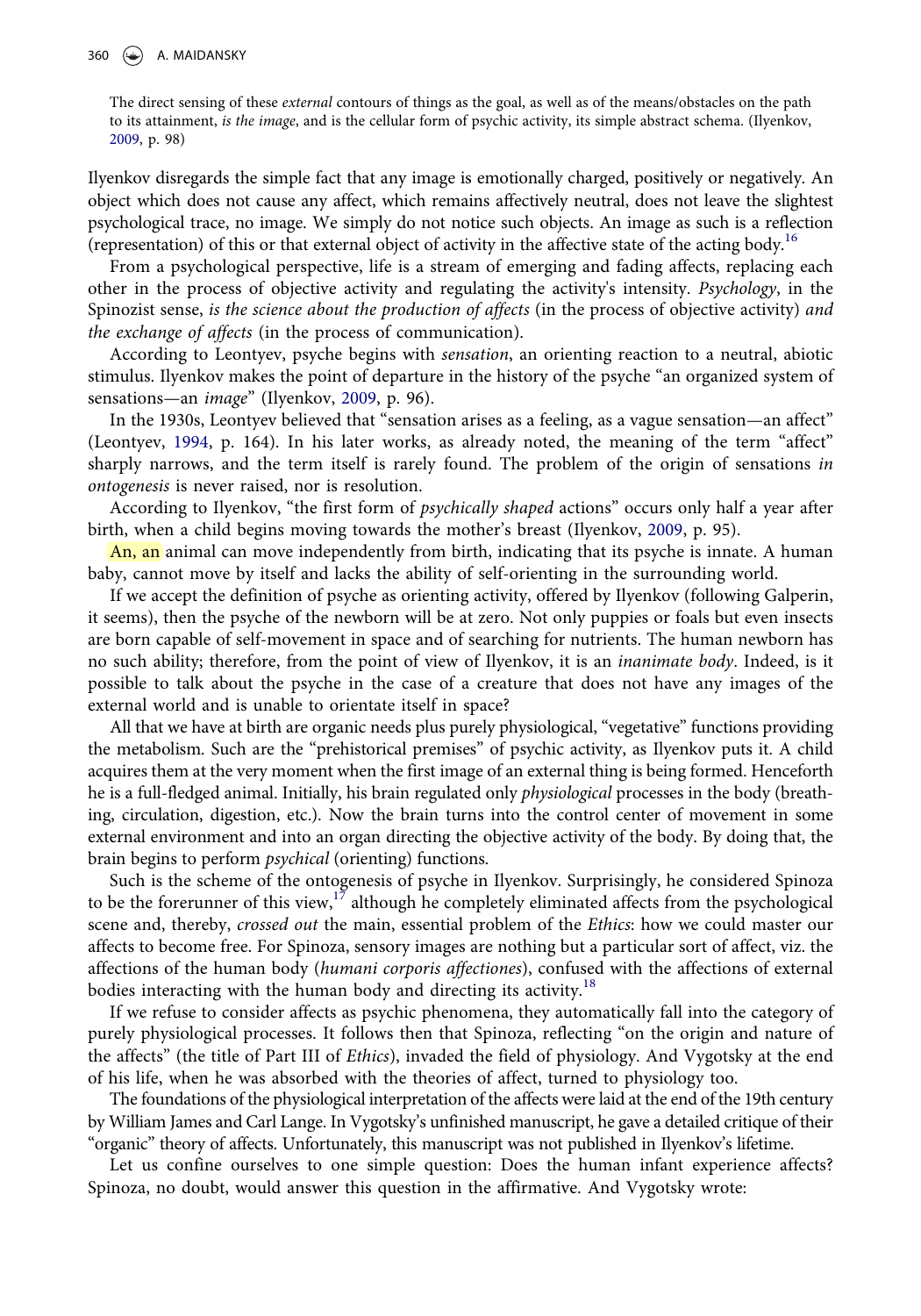#### 360  $\left(\frac{1}{2}\right)$  A. MAIDANSKY

The direct sensing of these external contours of things as the goal, as well as of the means/obstacles on the path to its attainment, is the image, and is the cellular form of psychic activity, its simple abstract schema. (Ilyenkov, [2009](#page-9-12), p. 98)

Ilyenkov disregards the simple fact that any image is emotionally charged, positively or negatively. An object which does not cause any affect, which remains affectively neutral, does not leave the slightest psychological trace, no image. We simply do not notice such objects. An image as such is a reflection (representation) of this or that external object of activity in the affective state of the acting body.<sup>16</sup>

From a psychological perspective, life is a stream of emerging and fading affects, replacing each other in the process of objective activity and regulating the activity's intensity. Psychology, in the Spinozist sense, is the science about the production of affects (in the process of objective activity) and the exchange of affects (in the process of communication).

According to Leontyev, psyche begins with sensation, an orienting reaction to a neutral, abiotic stimulus. Ilyenkov makes the point of departure in the history of the psyche "an organized system of sensations—an image" (Ilyenkov, [2009](#page-9-12), p. 96).

In the 1930s, Leontyev believed that "sensation arises as a feeling, as a vague sensation—an affect" (Leontyev, [1994](#page-9-7), p. 164). In his later works, as already noted, the meaning of the term "affect" sharply narrows, and the term itself is rarely found. The problem of the origin of sensations in ontogenesis is never raised, nor is resolution.

<span id="page-5-0"></span>According to Ilyenkov, "the first form of psychically shaped actions" occurs only half a year after birth, when a child begins moving towards the mother's breast (Ilyenkov, [2009,](#page-9-12) p. 95).

An, an animal can move independently from birth, indicating that its psyche is innate. A human baby, cannot move by itself and lacks the ability of self-orienting in the surrounding world.

If we accept the definition of psyche as orienting activity, offered by Ilyenkov (following Galperin, it seems), then the psyche of the newborn will be at zero. Not only puppies or foals but even insects are born capable of self-movement in space and of searching for nutrients. The human newborn has no such ability; therefore, from the point of view of Ilyenkov, it is an inanimate body. Indeed, is it possible to talk about the psyche in the case of a creature that does not have any images of the external world and is unable to orientate itself in space?

All that we have at birth are organic needs plus purely physiological, "vegetative" functions providing the metabolism. Such are the "prehistorical premises" of psychic activity, as Ilyenkov puts it. A child acquires them at the very moment when the first image of an external thing is being formed. Henceforth he is a full-fledged animal. Initially, his brain regulated only physiological processes in the body (breathing, circulation, digestion, etc.). Now the brain turns into the control center of movement in some external environment and into an organ directing the objective activity of the body. By doing that, the brain begins to perform psychical (orienting) functions.

Such is the scheme of the ontogenesis of psyche in Ilyenkov. Surprisingly, he considered Spinoza to be the forerunner of this view, $17$  although he completely eliminated affects from the psychological scene and, thereby, crossed out the main, essential problem of the Ethics: how we could master our affects to become free. For Spinoza, sensory images are nothing but a particular sort of affect, viz. the affections of the human body (humani corporis affectiones), confused with the affections of external bodies interacting with the human body and directing its activity.<sup>[18](#page-8-17)</sup>

If we refuse to consider affects as psychic phenomena, they automatically fall into the category of purely physiological processes. It follows then that Spinoza, reflecting "on the origin and nature of the affects" (the title of Part III of Ethics), invaded the field of physiology. And Vygotsky at the end of his life, when he was absorbed with the theories of affect, turned to physiology too.

The foundations of the physiological interpretation of the affects were laid at the end of the 19th century by William James and Carl Lange. In Vygotsky's unfinished manuscript, he gave a detailed critique of their "organic" theory of affects. Unfortunately, this manuscript was not published in Ilyenkov's lifetime.

Let us confine ourselves to one simple question: Does the human infant experience affects? Spinoza, no doubt, would answer this question in the affirmative. And Vygotsky wrote: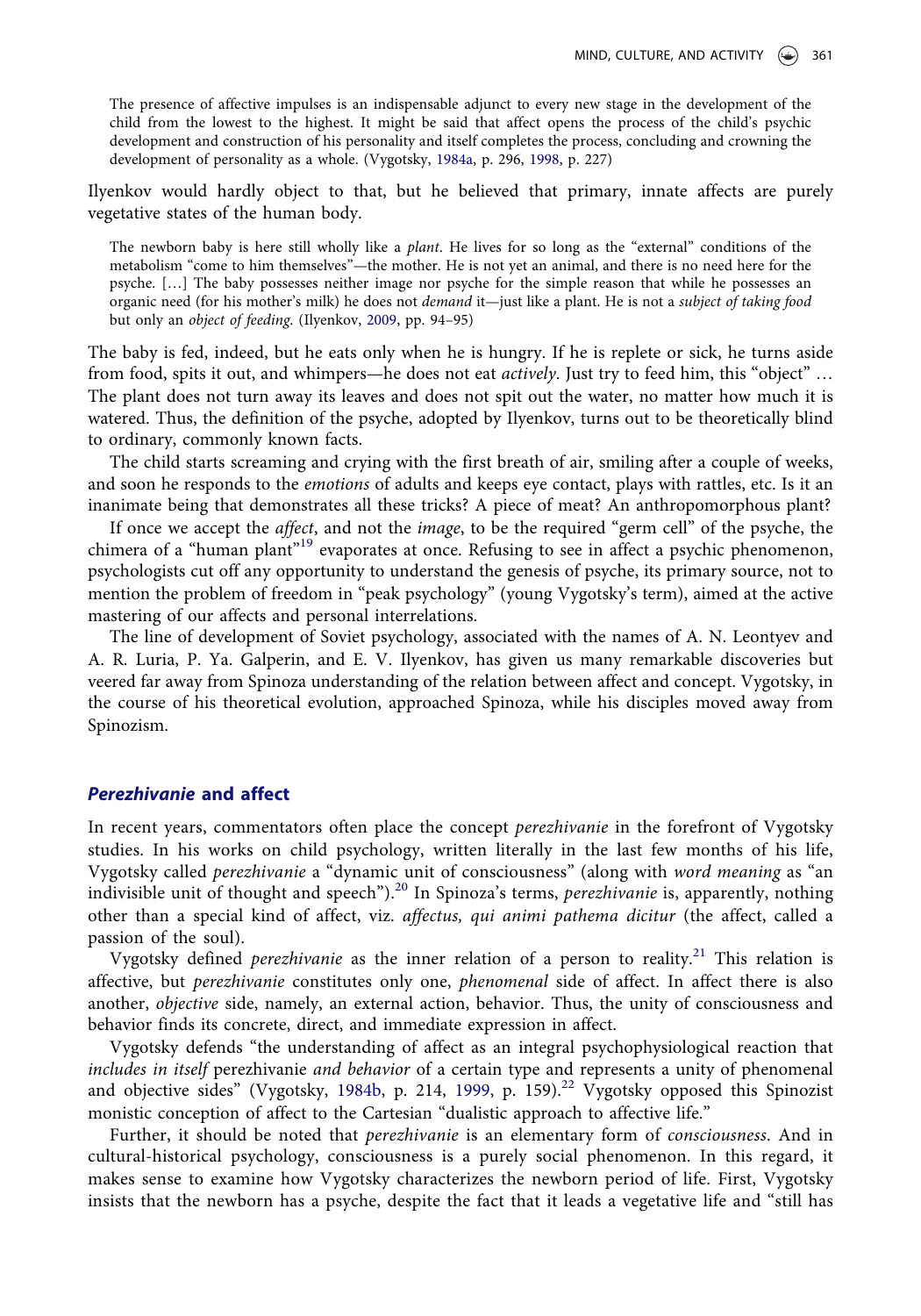The presence of affective impulses is an indispensable adjunct to every new stage in the development of the child from the lowest to the highest. It might be said that affect opens the process of the child's psychic development and construction of his personality and itself completes the process, concluding and crowning the development of personality as a whole. (Vygotsky, [1984a,](#page-9-10) p. 296, [1998](#page-9-11), p. 227)

Ilyenkov would hardly object to that, but he believed that primary, innate affects are purely vegetative states of the human body.

The newborn baby is here still wholly like a *plant*. He lives for so long as the "external" conditions of the metabolism "come to him themselves"—the mother. He is not yet an animal, and there is no need here for the psyche. […] The baby possesses neither image nor psyche for the simple reason that while he possesses an organic need (for his mother's milk) he does not demand it—just like a plant. He is not a subject of taking food but only an object of feeding. (Ilyenkov, [2009](#page-9-12), pp. 94–95)

The baby is fed, indeed, but he eats only when he is hungry. If he is replete or sick, he turns aside from food, spits it out, and whimpers—he does not eat *actively*. Just try to feed him, this "object" ... The plant does not turn away its leaves and does not spit out the water, no matter how much it is watered. Thus, the definition of the psyche, adopted by Ilyenkov, turns out to be theoretically blind to ordinary, commonly known facts.

The child starts screaming and crying with the first breath of air, smiling after a couple of weeks, and soon he responds to the emotions of adults and keeps eye contact, plays with rattles, etc. Is it an inanimate being that demonstrates all these tricks? A piece of meat? An anthropomorphous plant?

If once we accept the affect, and not the image, to be the required "germ cell" of the psyche, the chimera of a "human plant"<sup>[19](#page-8-18)</sup> evaporates at once. Refusing to see in affect a psychic phenomenon, psychologists cut off any opportunity to understand the genesis of psyche, its primary source, not to mention the problem of freedom in "peak psychology" (young Vygotsky's term), aimed at the active mastering of our affects and personal interrelations.

The line of development of Soviet psychology, associated with the names of A. N. Leontyev and A. R. Luria, P. Ya. Galperin, and E. V. Ilyenkov, has given us many remarkable discoveries but veered far away from Spinoza understanding of the relation between affect and concept. Vygotsky, in the course of his theoretical evolution, approached Spinoza, while his disciples moved away from Spinozism.

## Perezhivanie and affect

In recent years, commentators often place the concept perezhivanie in the forefront of Vygotsky studies. In his works on child psychology, written literally in the last few months of his life, Vygotsky called perezhivanie a "dynamic unit of consciousness" (along with word meaning as "an indivisible unit of thought and speech").<sup>[20](#page-8-19)</sup> In Spinoza's terms, *perezhivanie* is, apparently, nothing other than a special kind of affect, viz. affectus, qui animi pathema dicitur (the affect, called a passion of the soul).

Vygotsky defined *perezhivanie* as the inner relation of a person to reality.<sup>[21](#page-8-20)</sup> This relation is affective, but *perezhivanie* constitutes only one, *phenomenal* side of affect. In affect there is also another, objective side, namely, an external action, behavior. Thus, the unity of consciousness and behavior finds its concrete, direct, and immediate expression in affect.

Vygotsky defends "the understanding of affect as an integral psychophysiological reaction that includes in itself perezhivanie and behavior of a certain type and represents a unity of phenomenal and objective sides" (Vygotsky, [1984b,](#page-9-6) p. 214, [1999](#page-9-4), p. 159).<sup>22</sup> Vygotsky opposed this Spinozist monistic conception of affect to the Cartesian "dualistic approach to affective life."

Further, it should be noted that perezhivanie is an elementary form of consciousness. And in cultural-historical psychology, consciousness is a purely social phenomenon. In this regard, it makes sense to examine how Vygotsky characterizes the newborn period of life. First, Vygotsky insists that the newborn has a psyche, despite the fact that it leads a vegetative life and "still has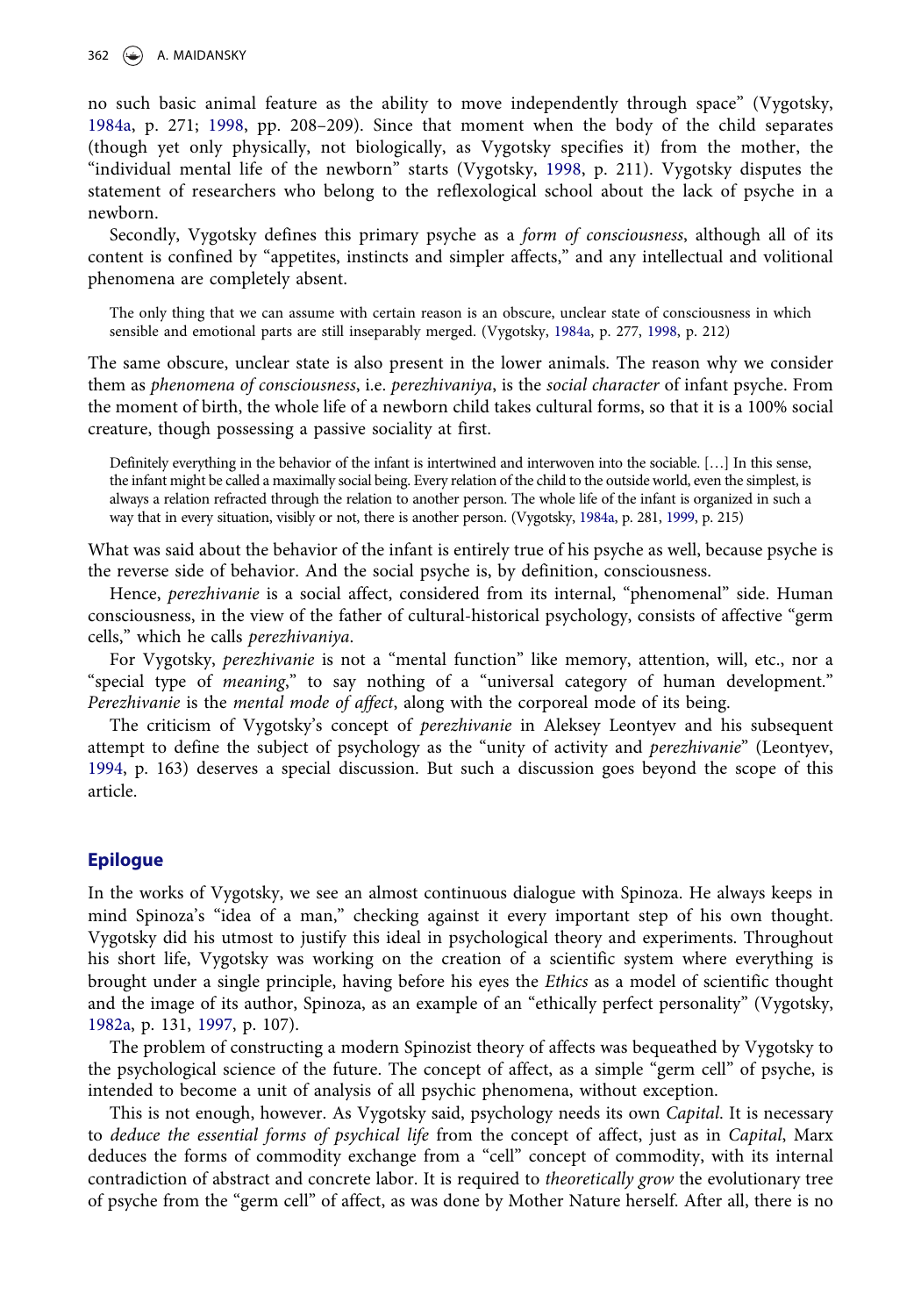$362 \left( \rightarrow \right)$  A. MAIDANSKY

no such basic animal feature as the ability to move independently through space" (Vygotsky, [1984a,](#page-9-10) p. 271; [1998,](#page-9-11) pp. 208–209). Since that moment when the body of the child separates (though yet only physically, not biologically, as Vygotsky specifies it) from the mother, the "individual mental life of the newborn" starts (Vygotsky, [1998](#page-9-11), p. 211). Vygotsky disputes the statement of researchers who belong to the reflexological school about the lack of psyche in a newborn.

Secondly, Vygotsky defines this primary psyche as a *form of consciousness*, although all of its content is confined by "appetites, instincts and simpler affects," and any intellectual and volitional phenomena are completely absent.

The only thing that we can assume with certain reason is an obscure, unclear state of consciousness in which sensible and emotional parts are still inseparably merged. (Vygotsky, [1984a](#page-9-10), p. 277, [1998](#page-9-11), p. 212)

The same obscure, unclear state is also present in the lower animals. The reason why we consider them as phenomena of consciousness, i.e. perezhivaniya, is the social character of infant psyche. From the moment of birth, the whole life of a newborn child takes cultural forms, so that it is a 100% social creature, though possessing a passive sociality at first.

Definitely everything in the behavior of the infant is intertwined and interwoven into the sociable. […] In this sense, the infant might be called a maximally social being. Every relation of the child to the outside world, even the simplest, is always a relation refracted through the relation to another person. The whole life of the infant is organized in such a way that in every situation, visibly or not, there is another person. (Vygotsky, [1984a](#page-9-10), p. 281, [1999](#page-9-4), p. 215)

What was said about the behavior of the infant is entirely true of his psyche as well, because psyche is the reverse side of behavior. And the social psyche is, by definition, consciousness.

Hence, perezhivanie is a social affect, considered from its internal, "phenomenal" side. Human consciousness, in the view of the father of cultural-historical psychology, consists of affective "germ cells," which he calls perezhivaniya.

For Vygotsky, perezhivanie is not a "mental function" like memory, attention, will, etc., nor a "special type of meaning," to say nothing of a "universal category of human development." Perezhivanie is the mental mode of affect, along with the corporeal mode of its being.

The criticism of Vygotsky's concept of perezhivanie in Aleksey Leontyev and his subsequent attempt to define the subject of psychology as the "unity of activity and perezhivanie" (Leontyev, [1994](#page-9-7), p. 163) deserves a special discussion. But such a discussion goes beyond the scope of this article.

## Epilogue

In the works of Vygotsky, we see an almost continuous dialogue with Spinoza. He always keeps in mind Spinoza's "idea of a man," checking against it every important step of his own thought. Vygotsky did his utmost to justify this ideal in psychological theory and experiments. Throughout his short life, Vygotsky was working on the creation of a scientific system where everything is brought under a single principle, having before his eyes the Ethics as a model of scientific thought and the image of its author, Spinoza, as an example of an "ethically perfect personality" (Vygotsky, [1982a,](#page-9-13) p. 131, [1997](#page-9-14), p. 107).

<span id="page-7-1"></span><span id="page-7-0"></span>The problem of constructing a modern Spinozist theory of affects was bequeathed by Vygotsky to the psychological science of the future. The concept of affect, as a simple "germ cell" of psyche, is intended to become a unit of analysis of all psychic phenomena, without exception.

This is not enough, however. As Vygotsky said, psychology needs its own *Capital*. It is necessary to deduce the essential forms of psychical life from the concept of affect, just as in Capital, Marx deduces the forms of commodity exchange from a "cell" concept of commodity, with its internal contradiction of abstract and concrete labor. It is required to theoretically grow the evolutionary tree of psyche from the "germ cell" of affect, as was done by Mother Nature herself. After all, there is no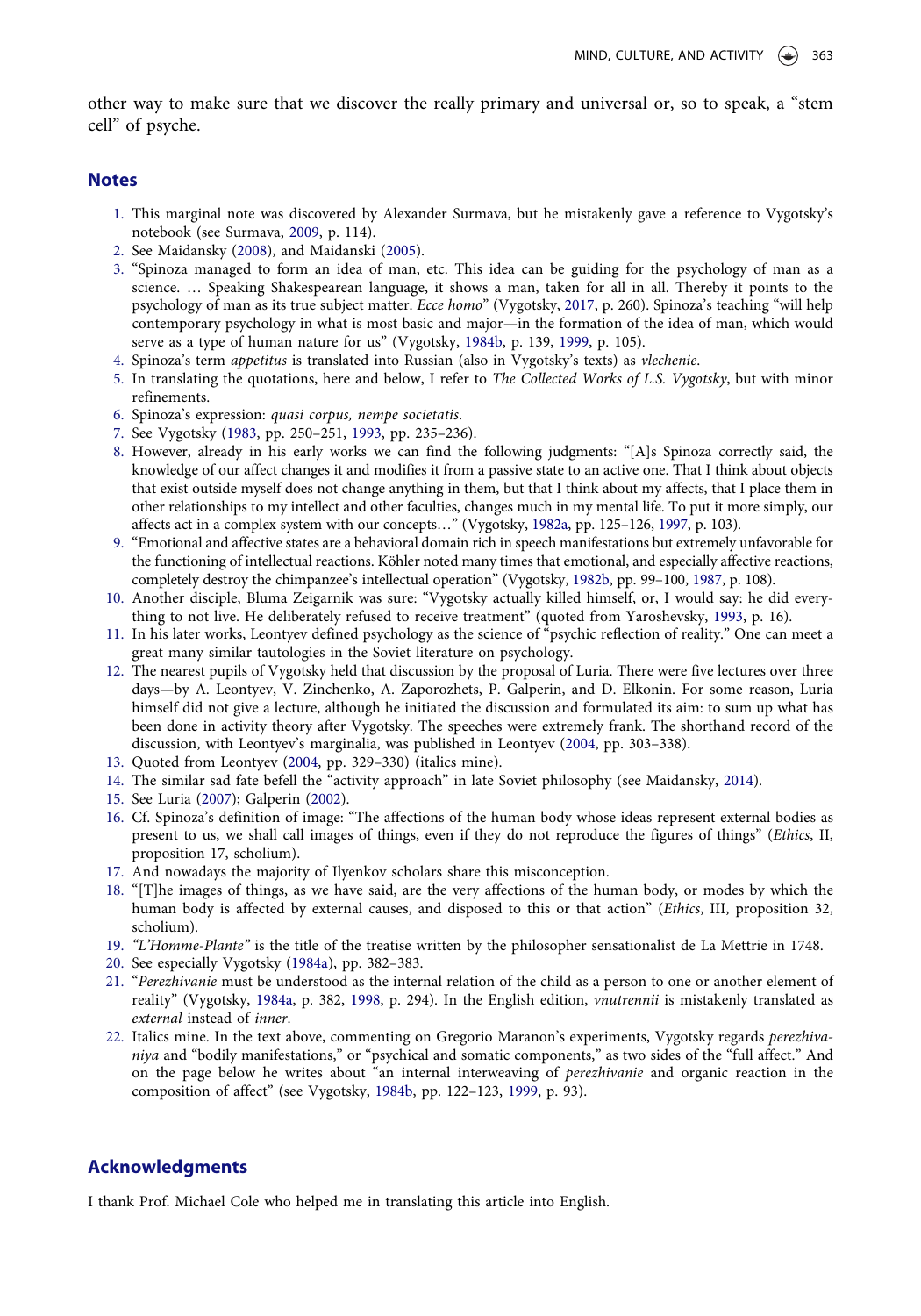other way to make sure that we discover the really primary and universal or, so to speak, a "stem cell" of psyche.

## <span id="page-8-0"></span>**Notes**

- <span id="page-8-22"></span>1. This marginal note was discovered by Alexander Surmava, but he mistakenly gave a reference to Vygotsky's notebook (see Surmava, [2009,](#page-9-15) p. 114).
- <span id="page-8-1"></span>2. See Maidansky ([2008](#page-9-16)), and Maidanski [\(2005\)](#page-9-17).
- <span id="page-8-2"></span>3. "Spinoza managed to form an idea of man, etc. This idea can be guiding for the psychology of man as a science. … Speaking Shakespearean language, it shows a man, taken for all in all. Thereby it points to the psychology of man as its true subject matter. Ecce homo" (Vygotsky, [2017](#page-9-0), p. 260). Spinoza's teaching "will help contemporary psychology in what is most basic and major—in the formation of the idea of man, which would serve as a type of human nature for us" (Vygotsky, [1984b,](#page-9-6) p. 139, [1999](#page-9-4), p. 105).
- <span id="page-8-3"></span>4. Spinoza's term appetitus is translated into Russian (also in Vygotsky's texts) as vlechenie.
- <span id="page-8-4"></span>5. In translating the quotations, here and below, I refer to The Collected Works of L.S. Vygotsky, but with minor refinements.
- <span id="page-8-6"></span><span id="page-8-5"></span>6. Spinoza's expression: quasi corpus, nempe societatis.
- 7. See Vygotsky [\(1983](#page-9-18), pp. 250–251, [1993,](#page-9-19) pp. 235–236).
- <span id="page-8-7"></span>8. However, already in his early works we can find the following judgments: "[A]s Spinoza correctly said, the knowledge of our affect changes it and modifies it from a passive state to an active one. That I think about objects that exist outside myself does not change anything in them, but that I think about my affects, that I place them in other relationships to my intellect and other faculties, changes much in my mental life. To put it more simply, our affects act in a complex system with our concepts…" (Vygotsky, [1982a,](#page-9-13) pp. 125–126, [1997](#page-9-14), p. 103).
- <span id="page-8-8"></span>9. "Emotional and affective states are a behavioral domain rich in speech manifestations but extremely unfavorable for the functioning of intellectual reactions. Köhler noted many times that emotional, and especially affective reactions, completely destroy the chimpanzee's intellectual operation" (Vygotsky, [1982b,](#page-9-2) pp. 99–100, [1987](#page-9-3), p. 108).
- <span id="page-8-9"></span>10. Another disciple, Bluma Zeigarnik was sure: "Vygotsky actually killed himself, or, I would say: he did everything to not live. He deliberately refused to receive treatment" (quoted from Yaroshevsky, [1993,](#page-9-1) p. 16).
- <span id="page-8-10"></span>11. In his later works, Leontyev defined psychology as the science of "psychic reflection of reality." One can meet a great many similar tautologies in the Soviet literature on psychology.
- <span id="page-8-11"></span>12. The nearest pupils of Vygotsky held that discussion by the proposal of Luria. There were five lectures over three days—by A. Leontyev, V. Zinchenko, A. Zaporozhets, P. Galperin, and D. Elkonin. For some reason, Luria himself did not give a lecture, although he initiated the discussion and formulated its aim: to sum up what has been done in activity theory after Vygotsky. The speeches were extremely frank. The shorthand record of the discussion, with Leontyev's marginalia, was published in Leontyev [\(2004,](#page-9-20) pp. 303–338).
- <span id="page-8-12"></span>13. Quoted from Leontyev ([2004,](#page-9-20) pp. 329–330) (italics mine).
- <span id="page-8-13"></span>14. The similar sad fate befell the "activity approach" in late Soviet philosophy (see Maidansky, [2014](#page-9-21)).
- <span id="page-8-14"></span>15. See Luria [\(2007\)](#page-9-22); Galperin [\(2002\)](#page-9-23).
- <span id="page-8-15"></span>16. Cf. Spinoza's definition of image: "The affections of the human body whose ideas represent external bodies as present to us, we shall call images of things, even if they do not reproduce the figures of things" (Ethics, II, proposition 17, scholium).
- <span id="page-8-17"></span><span id="page-8-16"></span>17. And nowadays the majority of Ilyenkov scholars share this misconception.
- 18. "[T]he images of things, as we have said, are the very affections of the human body, or modes by which the human body is affected by external causes, and disposed to this or that action" (Ethics, III, proposition 32, scholium).
- <span id="page-8-18"></span>19. "L'Homme-Plante" is the title of the treatise written by the philosopher sensationalist de La Mettrie in 1748.
- <span id="page-8-20"></span><span id="page-8-19"></span>20. See especially Vygotsky [\(1984a\)](#page-9-10), pp. 382–383.
- 21. "Perezhivanie must be understood as the internal relation of the child as a person to one or another element of reality" (Vygotsky, [1984a](#page-9-10), p. 382, [1998](#page-9-11), p. 294). In the English edition, vnutrennii is mistakenly translated as external instead of inner.
- <span id="page-8-21"></span>22. Italics mine. In the text above, commenting on Gregorio Maranon's experiments, Vygotsky regards perezhivaniya and "bodily manifestations," or "psychical and somatic components," as two sides of the "full affect." And on the page below he writes about "an internal interweaving of perezhivanie and organic reaction in the composition of affect" (see Vygotsky, [1984b,](#page-9-6) pp. 122–123, [1999](#page-9-4), p. 93).

## Acknowledgments

I thank Prof. Michael Cole who helped me in translating this article into English.